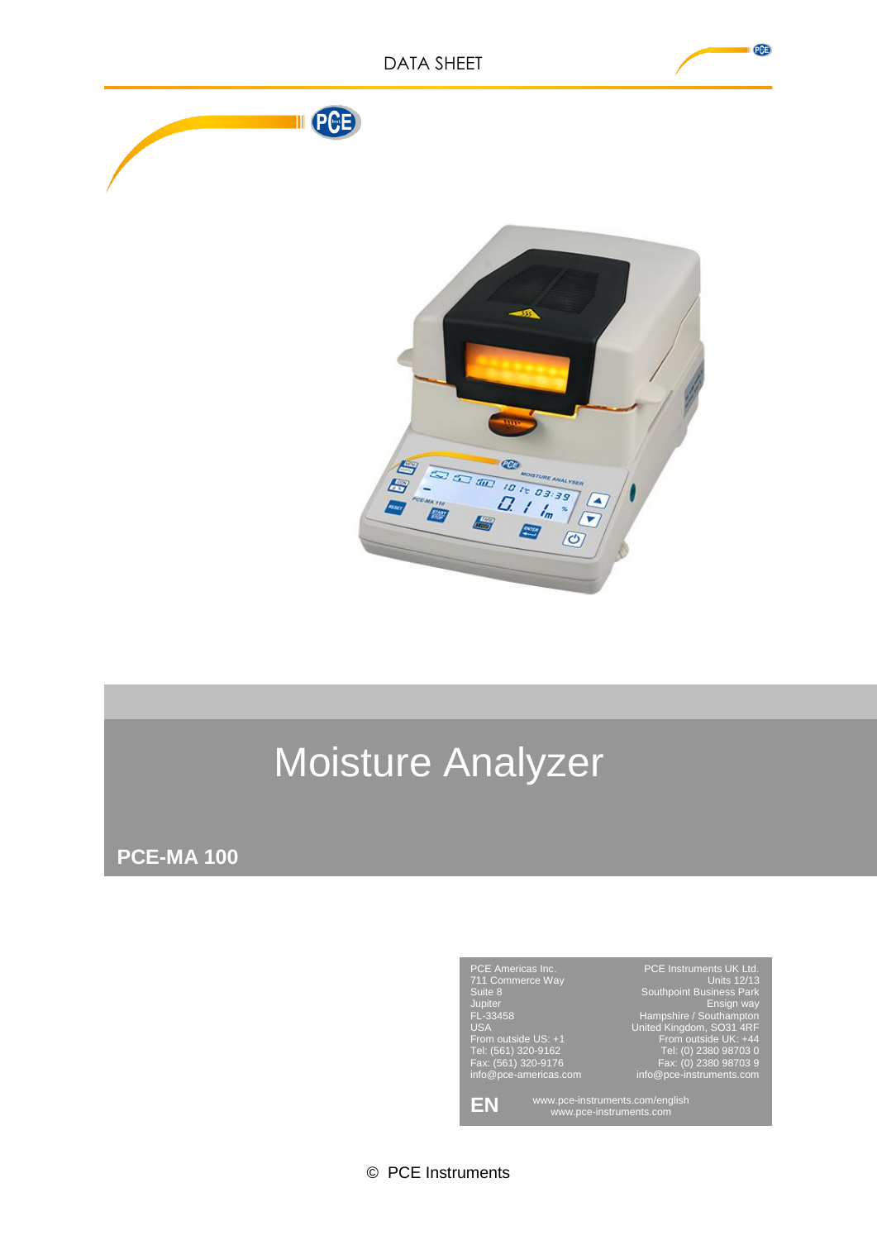

H

**AND** 

 $Q_{\frac{1}{m}}$ 

 $\sqrt{r}$  $\circledcirc$ 

# Moisture Analyzer

**PCE-MA 100**



© PCE Instruments